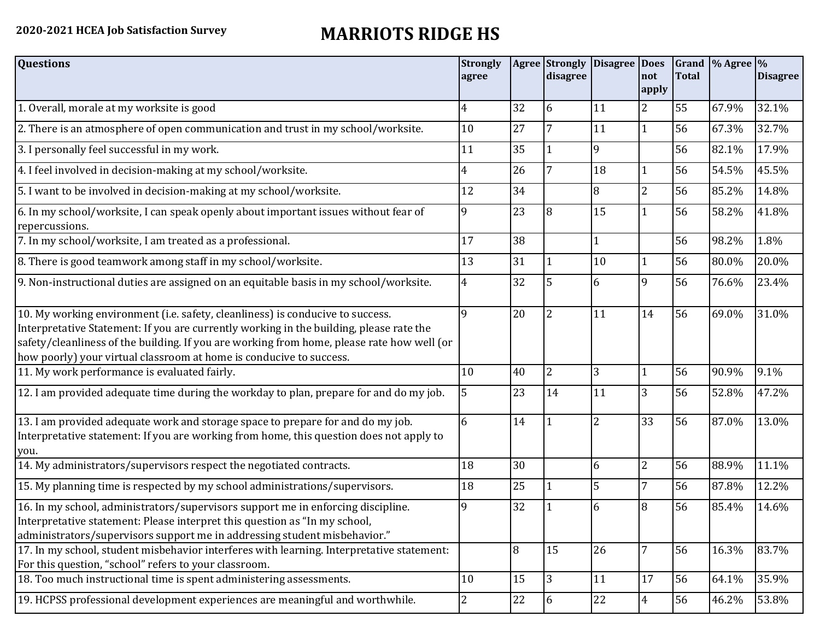## **2020-2021 HCEA Job Satisfaction Survey MARRIOTS RIDGE HS**

| <b>Questions</b>                                                                                                                                                                                                                                                                                                                               | <b>Strongly</b><br>agree |    | <b>Agree Strongly Disagree</b><br>disagree |                | Does<br>not<br>apply | <b>Total</b> | Grand % Agree % | <b>Disagree</b> |
|------------------------------------------------------------------------------------------------------------------------------------------------------------------------------------------------------------------------------------------------------------------------------------------------------------------------------------------------|--------------------------|----|--------------------------------------------|----------------|----------------------|--------------|-----------------|-----------------|
| 1. Overall, morale at my worksite is good                                                                                                                                                                                                                                                                                                      | $\overline{4}$           | 32 | 6                                          | 11             | 2                    | 55           | 67.9%           | 32.1%           |
| 2. There is an atmosphere of open communication and trust in my school/worksite.                                                                                                                                                                                                                                                               | 10                       | 27 |                                            | 11             | $\mathbf{1}$         | 56           | 67.3%           | 32.7%           |
| 3. I personally feel successful in my work.                                                                                                                                                                                                                                                                                                    | 11                       | 35 |                                            | 9              |                      | 56           | 82.1%           | 17.9%           |
| 4. I feel involved in decision-making at my school/worksite.                                                                                                                                                                                                                                                                                   | 4                        | 26 |                                            | 18             | $\mathbf{1}$         | 56           | 54.5%           | 45.5%           |
| 5. I want to be involved in decision-making at my school/worksite.                                                                                                                                                                                                                                                                             | 12                       | 34 |                                            | 8              | $\overline{2}$       | 56           | 85.2%           | 14.8%           |
| 6. In my school/worksite, I can speak openly about important issues without fear of<br>repercussions.                                                                                                                                                                                                                                          | 9                        | 23 | 8                                          | 15             | 1                    | 56           | 58.2%           | 41.8%           |
| 7. In my school/worksite, I am treated as a professional.                                                                                                                                                                                                                                                                                      | 17                       | 38 |                                            | $\mathbf{1}$   |                      | 56           | 98.2%           | 1.8%            |
| 8. There is good teamwork among staff in my school/worksite.                                                                                                                                                                                                                                                                                   | 13                       | 31 |                                            | 10             | $\mathbf{1}$         | 56           | 80.0%           | 20.0%           |
| 9. Non-instructional duties are assigned on an equitable basis in my school/worksite.                                                                                                                                                                                                                                                          | $\overline{4}$           | 32 | 5                                          | 6              | 9                    | 56           | 76.6%           | 23.4%           |
| 10. My working environment (i.e. safety, cleanliness) is conducive to success.<br>Interpretative Statement: If you are currently working in the building, please rate the<br>safety/cleanliness of the building. If you are working from home, please rate how well (or<br>how poorly) your virtual classroom at home is conducive to success. | 9                        | 20 | $\overline{2}$                             | 11             | 14                   | 56           | 69.0%           | 31.0%           |
| 11. My work performance is evaluated fairly.                                                                                                                                                                                                                                                                                                   | 10                       | 40 | 2                                          | 3              | $\mathbf{1}$         | 56           | 90.9%           | 9.1%            |
| 12. I am provided adequate time during the workday to plan, prepare for and do my job.                                                                                                                                                                                                                                                         | 5                        | 23 | 14                                         | 11             | 3                    | 56           | 52.8%           | 47.2%           |
| 13. I am provided adequate work and storage space to prepare for and do my job.<br>Interpretative statement: If you are working from home, this question does not apply to<br>you.                                                                                                                                                             | 6                        | 14 |                                            | $\overline{2}$ | 33                   | 56           | 87.0%           | 13.0%           |
| 14. My administrators/supervisors respect the negotiated contracts.                                                                                                                                                                                                                                                                            | 18                       | 30 |                                            | 6              | $\overline{2}$       | 56           | 88.9%           | 11.1%           |
| 15. My planning time is respected by my school administrations/supervisors.                                                                                                                                                                                                                                                                    | 18                       | 25 |                                            | 5              | 7                    | 56           | 87.8%           | 12.2%           |
| 16. In my school, administrators/supervisors support me in enforcing discipline.<br>Interpretative statement: Please interpret this question as "In my school,<br>administrators/supervisors support me in addressing student misbehavior."                                                                                                    | 9                        | 32 |                                            | 6              | 8                    | 56           | 85.4%           | 14.6%           |
| 17. In my school, student misbehavior interferes with learning. Interpretative statement:<br>For this question, "school" refers to your classroom.                                                                                                                                                                                             |                          | 8  | 15                                         | 26             | $\overline{7}$       | 56           | 16.3%           | 83.7%           |
| 18. Too much instructional time is spent administering assessments.                                                                                                                                                                                                                                                                            | 10                       | 15 | 3                                          | 11             | 17                   | 56           | 64.1%           | 35.9%           |
| 19. HCPSS professional development experiences are meaningful and worthwhile.                                                                                                                                                                                                                                                                  | $\overline{2}$           | 22 | 6                                          | 22             | $\overline{4}$       | 56           | 46.2%           | 53.8%           |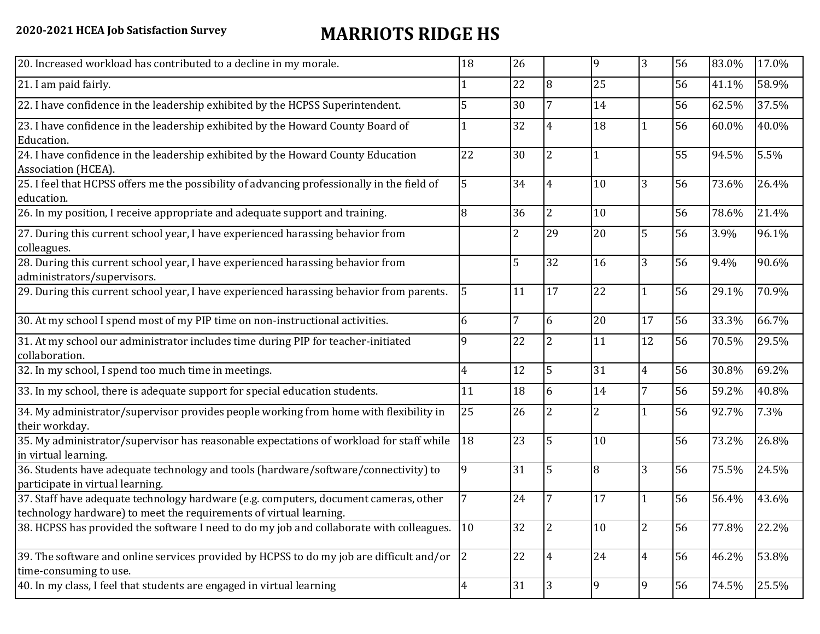## **2020-2021 HCEA Job Satisfaction Survey MARRIOTS RIDGE HS**

| 20. Increased workload has contributed to a decline in my morale.                                                                                          | 18             | 26             |                | 9              | 3              | 56 | 83.0% | 17.0% |
|------------------------------------------------------------------------------------------------------------------------------------------------------------|----------------|----------------|----------------|----------------|----------------|----|-------|-------|
| 21. I am paid fairly.                                                                                                                                      |                | 22             | 8              | 25             |                | 56 | 41.1% | 58.9% |
| 22. I have confidence in the leadership exhibited by the HCPSS Superintendent.                                                                             | 5              | 30             |                | 14             |                | 56 | 62.5% | 37.5% |
| 23. I have confidence in the leadership exhibited by the Howard County Board of<br>Education.                                                              |                | 32             | $\overline{4}$ | 18             | $\mathbf{1}$   | 56 | 60.0% | 40.0% |
| 24. I have confidence in the leadership exhibited by the Howard County Education<br>Association (HCEA).                                                    | 22             | 30             | 2              |                |                | 55 | 94.5% | 5.5%  |
| 25. I feel that HCPSS offers me the possibility of advancing professionally in the field of<br>education.                                                  | 5              | 34             | 4              | 10             | 3              | 56 | 73.6% | 26.4% |
| 26. In my position, I receive appropriate and adequate support and training.                                                                               | 8              | 36             | $\overline{2}$ | 10             |                | 56 | 78.6% | 21.4% |
| 27. During this current school year, I have experienced harassing behavior from<br>colleagues.                                                             |                | $\overline{2}$ | 29             | 20             | 5              | 56 | 3.9%  | 96.1% |
| 28. During this current school year, I have experienced harassing behavior from<br>administrators/supervisors.                                             |                | 5              | 32             | 16             | 3              | 56 | 9.4%  | 90.6% |
| 29. During this current school year, I have experienced harassing behavior from parents.                                                                   | 5              | 11             | 17             | 22             | $\mathbf{1}$   | 56 | 29.1% | 70.9% |
| 30. At my school I spend most of my PIP time on non-instructional activities.                                                                              | 6              | 7              | 6              | 20             | 17             | 56 | 33.3% | 66.7% |
| 31. At my school our administrator includes time during PIP for teacher-initiated<br>collaboration.                                                        | 9              | 22             | 2              | 11             | 12             | 56 | 70.5% | 29.5% |
| 32. In my school, I spend too much time in meetings.                                                                                                       | $\overline{4}$ | 12             | 5              | 31             | $\overline{4}$ | 56 | 30.8% | 69.2% |
| 33. In my school, there is adequate support for special education students.                                                                                | 11             | 18             | 6              | 14             | $\overline{7}$ | 56 | 59.2% | 40.8% |
| 34. My administrator/supervisor provides people working from home with flexibility in<br>their workday.                                                    | 25             | 26             | $\overline{2}$ | $\overline{2}$ | $\mathbf{1}$   | 56 | 92.7% | 7.3%  |
| 35. My administrator/supervisor has reasonable expectations of workload for staff while<br>in virtual learning.                                            | 18             | 23             | 5              | 10             |                | 56 | 73.2% | 26.8% |
| 36. Students have adequate technology and tools (hardware/software/connectivity) to<br>participate in virtual learning.                                    | 9              | 31             | 5              | 8              | 3              | 56 | 75.5% | 24.5% |
| 37. Staff have adequate technology hardware (e.g. computers, document cameras, other<br>technology hardware) to meet the requirements of virtual learning. |                | 24             |                | 17             |                | 56 | 56.4% | 43.6% |
| 38. HCPSS has provided the software I need to do my job and collaborate with colleagues.                                                                   | 10             | 32             | 2              | 10             | 2              | 56 | 77.8% | 22.2% |
| 39. The software and online services provided by HCPSS to do my job are difficult and/or<br>time-consuming to use.                                         | 2              | 22             | $\overline{4}$ | 24             | $\overline{4}$ | 56 | 46.2% | 53.8% |
| 40. In my class, I feel that students are engaged in virtual learning                                                                                      | $\overline{4}$ | 31             | 3              | 9              | 9              | 56 | 74.5% | 25.5% |
|                                                                                                                                                            |                |                |                |                |                |    |       |       |